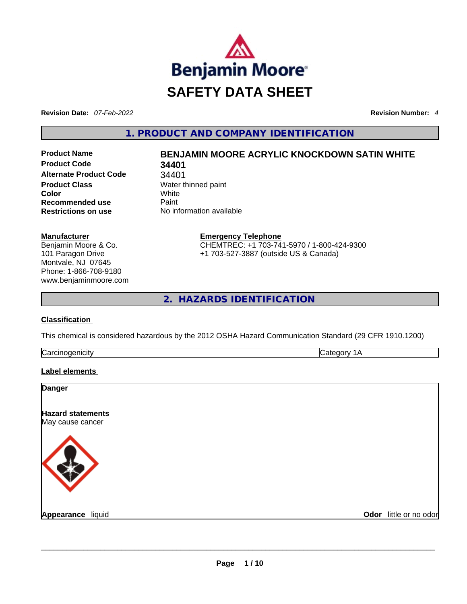

**Revision Date:** *07-Feb-2022* **Revision Number:** *4*

**1. PRODUCT AND COMPANY IDENTIFICATION** 

**Product Code 34401 Alternate Product Code** 34401 **Product Class Water thinned paint Color** White **Recommended use Paint Restrictions on use** No information available

# **Product Name BENJAMIN MOORE ACRYLIC KNOCKDOWN SATIN WHITE**

**Manufacturer** Benjamin Moore & Co. 101 Paragon Drive Montvale, NJ 07645 Phone: 1-866-708-9180 www.benjaminmoore.com **Emergency Telephone** CHEMTREC: +1 703-741-5970 / 1-800-424-9300 +1 703-527-3887 (outside US & Canada)

**2. HAZARDS IDENTIFICATION** 

## **Classification**

This chemical is considered hazardous by the 2012 OSHA Hazard Communication Standard (29 CFR 1910.1200)

| ∽<br> |  |
|-------|--|
|       |  |

## **Label elements**

| Odor little or no odor |
|------------------------|
|                        |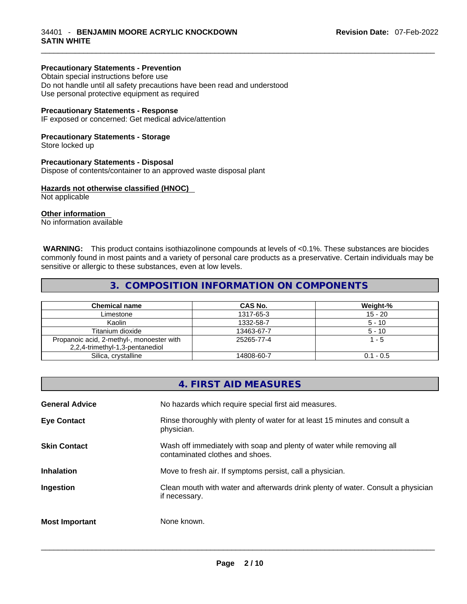## **Precautionary Statements - Prevention**

Obtain special instructions before use Do not handle until all safety precautions have been read and understood Use personal protective equipment as required

#### **Precautionary Statements - Response**

IF exposed or concerned: Get medical advice/attention

#### **Precautionary Statements - Storage**

Store locked up

#### **Precautionary Statements - Disposal**

Dispose of contents/container to an approved waste disposal plant

### **Hazards not otherwise classified (HNOC)**

Not applicable

#### **Other information**

No information available

 **WARNING:** This product contains isothiazolinone compounds at levels of <0.1%. These substances are biocides commonly found in most paints and a variety of personal care products as a preservative. Certain individuals may be sensitive or allergic to these substances, even at low levels.

## **3. COMPOSITION INFORMATION ON COMPONENTS**

| <b>Chemical name</b>                                                         | <b>CAS No.</b> | Weight-%    |
|------------------------------------------------------------------------------|----------------|-------------|
| Limestone                                                                    | 1317-65-3      | $15 - 20$   |
| Kaolin                                                                       | 1332-58-7      | $5 - 10$    |
| Titanium dioxide                                                             | 13463-67-7     | $5 - 10$    |
| Propanoic acid, 2-methyl-, monoester with<br>2,2,4-trimethyl-1,3-pentanediol | 25265-77-4     | 1 - 5       |
| Silica, crystalline                                                          | 14808-60-7     | $0.1 - 0.5$ |

|                       | 4. FIRST AID MEASURES                                                                                    |
|-----------------------|----------------------------------------------------------------------------------------------------------|
| <b>General Advice</b> | No hazards which require special first aid measures.                                                     |
| <b>Eye Contact</b>    | Rinse thoroughly with plenty of water for at least 15 minutes and consult a<br>physician.                |
| <b>Skin Contact</b>   | Wash off immediately with soap and plenty of water while removing all<br>contaminated clothes and shoes. |
| <b>Inhalation</b>     | Move to fresh air. If symptoms persist, call a physician.                                                |
| Ingestion             | Clean mouth with water and afterwards drink plenty of water. Consult a physician<br>if necessary.        |
| <b>Most Important</b> | None known.                                                                                              |
|                       |                                                                                                          |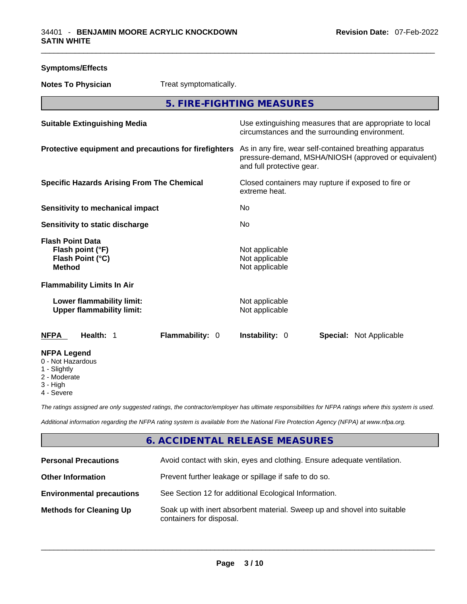| <b>Symptoms/Effects</b>                                                             |                                                                                                                                              |
|-------------------------------------------------------------------------------------|----------------------------------------------------------------------------------------------------------------------------------------------|
| Treat symptomatically.<br><b>Notes To Physician</b>                                 |                                                                                                                                              |
|                                                                                     | 5. FIRE-FIGHTING MEASURES                                                                                                                    |
| <b>Suitable Extinguishing Media</b>                                                 | Use extinguishing measures that are appropriate to local<br>circumstances and the surrounding environment.                                   |
| Protective equipment and precautions for firefighters                               | As in any fire, wear self-contained breathing apparatus<br>pressure-demand, MSHA/NIOSH (approved or equivalent)<br>and full protective gear. |
| <b>Specific Hazards Arising From The Chemical</b>                                   | Closed containers may rupture if exposed to fire or<br>extreme heat.                                                                         |
| Sensitivity to mechanical impact                                                    | No                                                                                                                                           |
| <b>Sensitivity to static discharge</b>                                              | No.                                                                                                                                          |
| <b>Flash Point Data</b><br>Flash point (°F)<br>Flash Point (°C)<br><b>Method</b>    | Not applicable<br>Not applicable<br>Not applicable                                                                                           |
| <b>Flammability Limits In Air</b>                                                   |                                                                                                                                              |
| Lower flammability limit:<br><b>Upper flammability limit:</b>                       | Not applicable<br>Not applicable                                                                                                             |
| <b>NFPA</b><br>Health: 1<br>Flammability: 0                                         | Instability: 0<br><b>Special: Not Applicable</b>                                                                                             |
| <b>NFPA Legend</b><br>0 - Not Hazardous<br>1 - Slightly<br>2 - Moderate<br>3 - High |                                                                                                                                              |

4 - Severe

*The ratings assigned are only suggested ratings, the contractor/employer has ultimate responsibilities for NFPA ratings where this system is used.* 

*Additional information regarding the NFPA rating system is available from the National Fire Protection Agency (NFPA) at www.nfpa.org.* 

## **6. ACCIDENTAL RELEASE MEASURES**

| <b>Personal Precautions</b>      | Avoid contact with skin, eyes and clothing. Ensure adequate ventilation.                             |
|----------------------------------|------------------------------------------------------------------------------------------------------|
| <b>Other Information</b>         | Prevent further leakage or spillage if safe to do so.                                                |
| <b>Environmental precautions</b> | See Section 12 for additional Ecological Information.                                                |
| <b>Methods for Cleaning Up</b>   | Soak up with inert absorbent material. Sweep up and shovel into suitable<br>containers for disposal. |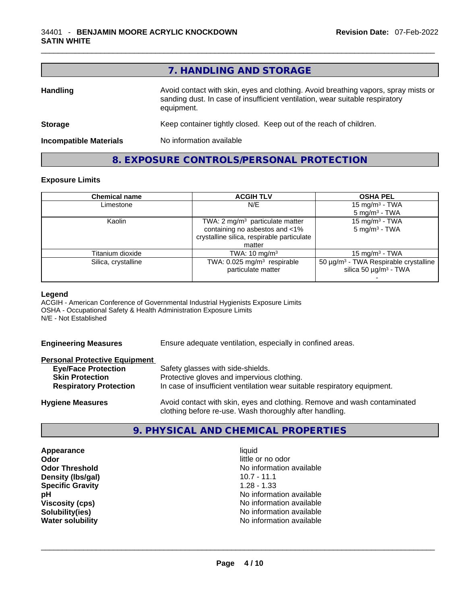|                               | 7. HANDLING AND STORAGE                                                                                                                                                          |
|-------------------------------|----------------------------------------------------------------------------------------------------------------------------------------------------------------------------------|
| <b>Handling</b>               | Avoid contact with skin, eyes and clothing. Avoid breathing vapors, spray mists or<br>sanding dust. In case of insufficient ventilation, wear suitable respiratory<br>equipment. |
| <b>Storage</b>                | Keep container tightly closed. Keep out of the reach of children.                                                                                                                |
| <b>Incompatible Materials</b> | No information available                                                                                                                                                         |

**8. EXPOSURE CONTROLS/PERSONAL PROTECTION** 

## **Exposure Limits**

| <b>Chemical name</b> | <b>ACGIH TLV</b>                           | <b>OSHA PEL</b>                                        |
|----------------------|--------------------------------------------|--------------------------------------------------------|
| Limestone            | N/E                                        | 15 mg/m <sup>3</sup> - TWA                             |
|                      |                                            | $5 \text{ mg/m}^3$ - TWA                               |
| Kaolin               | TWA: $2 \text{ mg/m}^3$ particulate matter | 15 mg/m $3$ - TWA                                      |
|                      | containing no asbestos and <1%             | $5 \text{ mg/m}^3$ - TWA                               |
|                      | crystalline silica, respirable particulate |                                                        |
|                      | matter                                     |                                                        |
| Titanium dioxide     | TWA: $10 \text{ mg/m}^3$                   | 15 mg/m $3$ - TWA                                      |
| Silica, crystalline  | TWA: 0.025 mg/m <sup>3</sup> respirable    | 50 $\mu$ g/m <sup>3</sup> - TWA Respirable crystalline |
|                      | particulate matter                         | silica 50 $\mu$ g/m <sup>3</sup> - TWA                 |
|                      |                                            |                                                        |

#### **Legend**

ACGIH - American Conference of Governmental Industrial Hygienists Exposure Limits OSHA - Occupational Safety & Health Administration Exposure Limits N/E - Not Established

**Engineering Measures** Ensure adequate ventilation, especially in confined areas.

#### **Personal Protective Equipment**

| <b>Eye/Face Protection</b>                              | Safety glasses with side-shields.                                                                                      |
|---------------------------------------------------------|------------------------------------------------------------------------------------------------------------------------|
| <b>Skin Protection</b><br><b>Respiratory Protection</b> | Protective gloves and impervious clothing.<br>In case of insufficient ventilation wear suitable respiratory equipment. |
| <b>Hygiene Measures</b>                                 | Avoid contact with skin, eyes and clothing. Remove and wash contaminated                                               |

## **9. PHYSICAL AND CHEMICAL PROPERTIES**

clothing before re-use. Wash thoroughly after handling.

**Appearance** liquid **Odor Odor Odor Odor Odor Odor** *little or no odor little or no odor little or no odor* **Density (lbs/gal)** 10.7 - 11.1 **Specific Gravity** 1.28 - 1.33

**Odor Threshold No information available No information available pH DESE ASSESSED ASSESSED ASSESSED AT A REPORT OF A REPORT OF A REPORT OF A REPORT OF A REPORT OF A REPORT OF A REPORT OF A REPORT OF A REPORT OF A REPORT OF A REPORT OF A REPORT OF A REPORT OF A REPORT OF A REPORT OF A Viscosity (cps)** <br> **Viscosity (cps)** <br> **Solubility(ies)** <br> **No** information available **Solubility(ies)**<br> **No information available**<br> **Water solubility**<br> **Water solubility Water solubility** No information available \_\_\_\_\_\_\_\_\_\_\_\_\_\_\_\_\_\_\_\_\_\_\_\_\_\_\_\_\_\_\_\_\_\_\_\_\_\_\_\_\_\_\_\_\_\_\_\_\_\_\_\_\_\_\_\_\_\_\_\_\_\_\_\_\_\_\_\_\_\_\_\_\_\_\_\_\_\_\_\_\_\_\_\_\_\_\_\_\_\_\_\_\_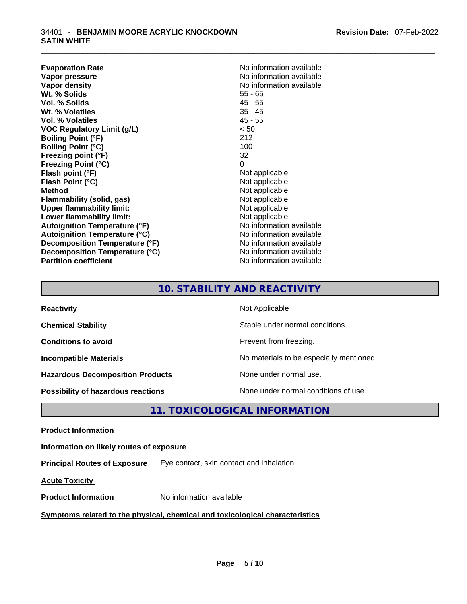**Evaporation Rate No information available No information available Vapor pressure**  No information available **Vapor density No information available No** information available **Wt. % Solids** 55 - 65 **Vol. % Solids** 45 - 55 **Wt. % Volatiles** 35 - 45 **Vol. % Volatiles** 45 - 55 **VOC Regulatory Limit (g/L)** < 50 **Boiling Point (°F)** 212 **Boiling Point (°C)** 100 **Freezing point (°F)** 32 **Freezing Point (°C)** 0 **Flash point (°F)** Not applicable **Flash Point (°C)** Not applicable **Method** Not applicable **Flammability (solid, gas)** Not applicable **Upper flammability limit:** Not applicable **Lower flammability limit:** Not applicable **Autoignition Temperature (°F)** No information available **Autoignition Temperature (°C)** No information available **Decomposition Temperature (°F)** No information available **Decomposition Temperature (°C)** No information available **Partition coefficient CONSTRANSISTS No information available** 

## **10. STABILITY AND REACTIVITY**

| <b>Reactivity</b>                       | Not Applicable                           |
|-----------------------------------------|------------------------------------------|
| <b>Chemical Stability</b>               | Stable under normal conditions.          |
| <b>Conditions to avoid</b>              | Prevent from freezing.                   |
| <b>Incompatible Materials</b>           | No materials to be especially mentioned. |
| <b>Hazardous Decomposition Products</b> | None under normal use.                   |
| Possibility of hazardous reactions      | None under normal conditions of use.     |

**11. TOXICOLOGICAL INFORMATION** 

**Product Information**

**Information on likely routes of exposure**

**Principal Routes of Exposure** Eye contact, skin contact and inhalation.

**Acute Toxicity** 

**Product Information** No information available \_\_\_\_\_\_\_\_\_\_\_\_\_\_\_\_\_\_\_\_\_\_\_\_\_\_\_\_\_\_\_\_\_\_\_\_\_\_\_\_\_\_\_\_\_\_\_\_\_\_\_\_\_\_\_\_\_\_\_\_\_\_\_\_\_\_\_\_\_\_\_\_\_\_\_\_\_\_\_\_\_\_\_\_\_\_\_\_\_\_\_\_\_ **<u>Symptoms related to the physical, chemical and toxicological characteristics</u>**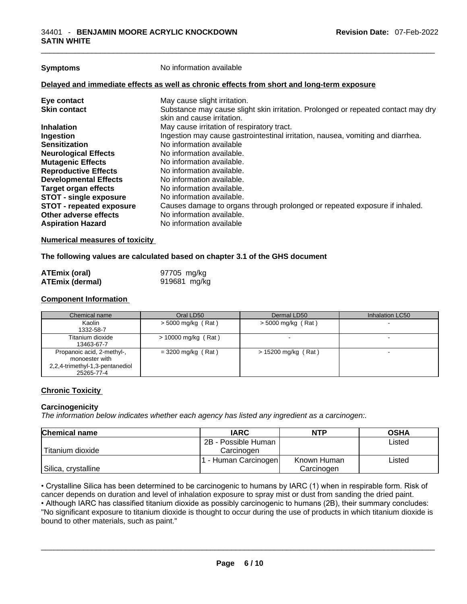| <b>Symptoms</b>                 | No information available                                                                                        |  |
|---------------------------------|-----------------------------------------------------------------------------------------------------------------|--|
|                                 | Delayed and immediate effects as well as chronic effects from short and long-term exposure                      |  |
| Eye contact                     | May cause slight irritation.                                                                                    |  |
| <b>Skin contact</b>             | Substance may cause slight skin irritation. Prolonged or repeated contact may dry<br>skin and cause irritation. |  |
| <b>Inhalation</b>               | May cause irritation of respiratory tract.                                                                      |  |
| Ingestion                       | Ingestion may cause gastrointestinal irritation, nausea, vomiting and diarrhea.                                 |  |
| <b>Sensitization</b>            | No information available                                                                                        |  |
| <b>Neurological Effects</b>     | No information available.                                                                                       |  |
| <b>Mutagenic Effects</b>        | No information available.                                                                                       |  |
| <b>Reproductive Effects</b>     | No information available.                                                                                       |  |
| <b>Developmental Effects</b>    | No information available.                                                                                       |  |
| <b>Target organ effects</b>     | No information available.                                                                                       |  |
| <b>STOT - single exposure</b>   | No information available.                                                                                       |  |
| <b>STOT - repeated exposure</b> | Causes damage to organs through prolonged or repeated exposure if inhaled.                                      |  |
| Other adverse effects           | No information available.                                                                                       |  |
| <b>Aspiration Hazard</b>        | No information available                                                                                        |  |
|                                 |                                                                                                                 |  |

#### **Numerical measures of toxicity**

### **The following values are calculated based on chapter 3.1 of the GHS document**

| <b>ATEmix (oral)</b>   | 97705 mg/kg  |
|------------------------|--------------|
| <b>ATEmix (dermal)</b> | 919681 mg/kg |

## **Component Information**

| Chemical name                                                                                 | Oral LD50             | Dermal LD50           | Inhalation LC50          |
|-----------------------------------------------------------------------------------------------|-----------------------|-----------------------|--------------------------|
| Kaolin<br>1332-58-7                                                                           | $>$ 5000 mg/kg (Rat)  | $>$ 5000 mg/kg (Rat)  | $\overline{\phantom{a}}$ |
| Titanium dioxide<br>13463-67-7                                                                | $> 10000$ mg/kg (Rat) |                       |                          |
| Propanoic acid, 2-methyl-,<br>monoester with<br>2,2,4-trimethyl-1,3-pentanediol<br>25265-77-4 | $=$ 3200 mg/kg (Rat)  | $> 15200$ mg/kg (Rat) |                          |

## **Chronic Toxicity**

#### **Carcinogenicity**

*The information below indicates whether each agency has listed any ingredient as a carcinogen:.* 

| <b>Chemical name</b> | <b>IARC</b>          | <b>NTP</b>  | <b>OSHA</b> |
|----------------------|----------------------|-------------|-------------|
|                      | 2B - Possible Human  |             | Listed      |
| Titanium dioxide     | Carcinogen           |             |             |
|                      | 1 - Human Carcinogen | Known Human | Listed      |
| Silica, crystalline  |                      | Carcinogen  |             |

• Crystalline Silica has been determined to be carcinogenic to humans by IARC (1) when in respirable form. Risk of cancer depends on duration and level of inhalation exposure to spray mist or dust from sanding the dried paint.• Although IARC has classified titanium dioxide as possibly carcinogenic to humans (2B), their summary concludes: "No significant exposure to titanium dioxide is thought to occur during the use of products in which titanium dioxide is bound to other materials, such as paint."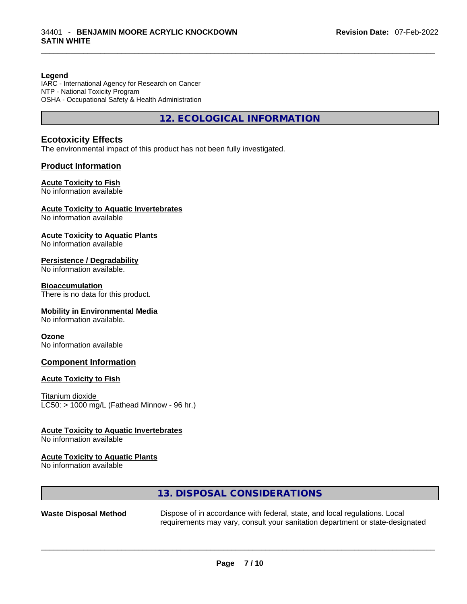#### **Legend**

IARC - International Agency for Research on Cancer NTP - National Toxicity Program OSHA - Occupational Safety & Health Administration

**12. ECOLOGICAL INFORMATION** 

### **Ecotoxicity Effects**

The environmental impact of this product has not been fully investigated.

#### **Product Information**

#### **Acute Toxicity to Fish**

No information available

#### **Acute Toxicity to Aquatic Invertebrates**

No information available

#### **Acute Toxicity to Aquatic Plants**

No information available

#### **Persistence / Degradability**

No information available.

#### **Bioaccumulation**

There is no data for this product.

#### **Mobility in Environmental Media**

No information available.

#### **Ozone**

No information available

#### **Component Information**

#### **Acute Toxicity to Fish**

Titanium dioxide  $LC50:$  > 1000 mg/L (Fathead Minnow - 96 hr.)

#### **Acute Toxicity to Aquatic Invertebrates**

No information available

#### **Acute Toxicity to Aquatic Plants**

No information available

## **13. DISPOSAL CONSIDERATIONS**

**Waste Disposal Method** Dispose of in accordance with federal, state, and local regulations. Local requirements may vary, consult your sanitation department or state-designated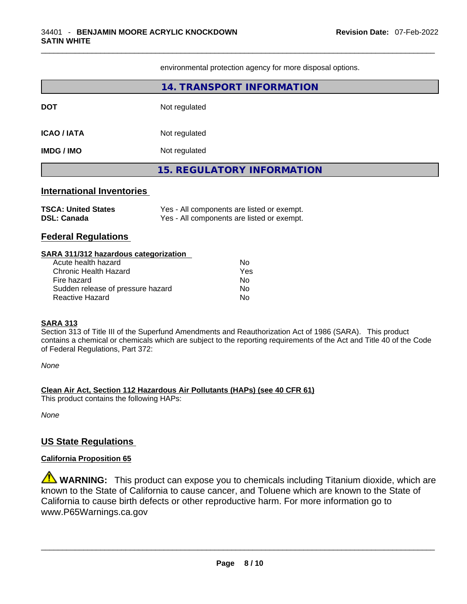environmental protection agency for more disposal options.

|                                                        | <b>14. TRANSPORT INFORMATION</b>                                                         |  |  |
|--------------------------------------------------------|------------------------------------------------------------------------------------------|--|--|
| <b>DOT</b>                                             | Not regulated                                                                            |  |  |
| <b>ICAO / IATA</b>                                     | Not regulated                                                                            |  |  |
| <b>IMDG/IMO</b>                                        | Not regulated                                                                            |  |  |
|                                                        | <b>15. REGULATORY INFORMATION</b>                                                        |  |  |
| <b>International Inventories</b>                       |                                                                                          |  |  |
| <b>TSCA: United States</b><br><b>DSL: Canada</b>       | Yes - All components are listed or exempt.<br>Yes - All components are listed or exempt. |  |  |
| <b>Federal Regulations</b>                             |                                                                                          |  |  |
| SARA 311/312 hazardous categorization                  |                                                                                          |  |  |
| Acute health hazard                                    | No.                                                                                      |  |  |
| <b>Chronic Health Hazard</b>                           | Yes                                                                                      |  |  |
| Fire hazard<br>No<br>Sudden release of pressure hazard |                                                                                          |  |  |
|                                                        | No.                                                                                      |  |  |

*None*

**Clean Air Act,Section 112 Hazardous Air Pollutants (HAPs) (see 40 CFR 61)**

This product contains the following HAPs:

of Federal Regulations, Part 372:

*None*

## **US State Regulations**

## **California Proposition 65**

**WARNING:** This product can expose you to chemicals including Titanium dioxide, which are known to the State of California to cause cancer, and Toluene which are known to the State of California to cause birth defects or other reproductive harm. For more information go to www.P65Warnings.ca.gov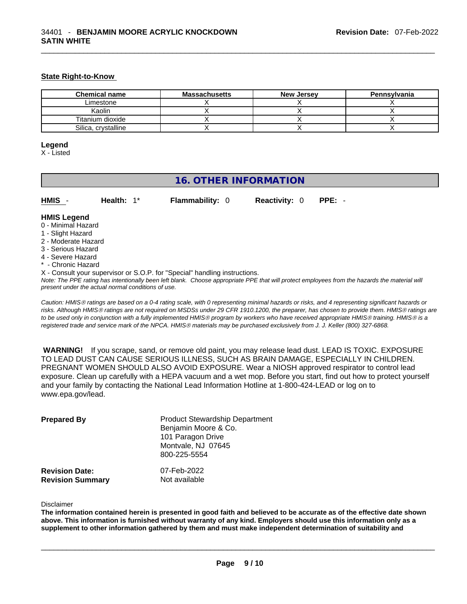#### **State Right-to-Know**

| <b>Chemical name</b> | <b>Massachusetts</b> | <b>New Jersey</b> | Pennsylvania |
|----------------------|----------------------|-------------------|--------------|
| Limestone            |                      |                   |              |
| Kaolin               |                      |                   |              |
| Titanium dioxide     |                      |                   |              |
| Silica, crystalline  |                      |                   |              |

#### **Legend**

X - Listed

## **16. OTHER INFORMATION**

| HMIS - | Health: $1^*$ | <b>Flammability: 0</b> | <b>Reactivity: 0 PPE: -</b> |  |
|--------|---------------|------------------------|-----------------------------|--|

#### **HMIS Legend**

- 0 Minimal Hazard
- 1 Slight Hazard
- 2 Moderate Hazard
- 3 Serious Hazard
- 4 Severe Hazard
- Chronic Hazard

X - Consult your supervisor or S.O.P. for "Special" handling instructions.

Note: The PPE rating has intentionally been left blank. Choose appropriate PPE that will protect employees from the hazards the material will *present under the actual normal conditions of use.* 

*Caution: HMISÒ ratings are based on a 0-4 rating scale, with 0 representing minimal hazards or risks, and 4 representing significant hazards or risks. Although HMISÒ ratings are not required on MSDSs under 29 CFR 1910.1200, the preparer, has chosen to provide them. HMISÒ ratings are to be used only in conjunction with a fully implemented HMISÒ program by workers who have received appropriate HMISÒ training. HMISÒ is a registered trade and service mark of the NPCA. HMISÒ materials may be purchased exclusively from J. J. Keller (800) 327-6868.* 

 **WARNING!** If you scrape, sand, or remove old paint, you may release lead dust. LEAD IS TOXIC. EXPOSURE TO LEAD DUST CAN CAUSE SERIOUS ILLNESS, SUCH AS BRAIN DAMAGE, ESPECIALLY IN CHILDREN. PREGNANT WOMEN SHOULD ALSO AVOID EXPOSURE.Wear a NIOSH approved respirator to control lead exposure. Clean up carefully with a HEPA vacuum and a wet mop. Before you start, find out how to protect yourself and your family by contacting the National Lead Information Hotline at 1-800-424-LEAD or log on to www.epa.gov/lead.

| <b>Prepared By</b>                               | <b>Product Stewardship Department</b><br>Benjamin Moore & Co.<br>101 Paragon Drive<br>Montvale, NJ 07645<br>800-225-5554 |  |
|--------------------------------------------------|--------------------------------------------------------------------------------------------------------------------------|--|
| <b>Revision Date:</b><br><b>Revision Summary</b> | 07-Feb-2022<br>Not available                                                                                             |  |

#### Disclaimer

The information contained herein is presented in good faith and believed to be accurate as of the effective date shown above. This information is furnished without warranty of any kind. Employers should use this information only as a **supplement to other information gathered by them and must make independent determination of suitability and**